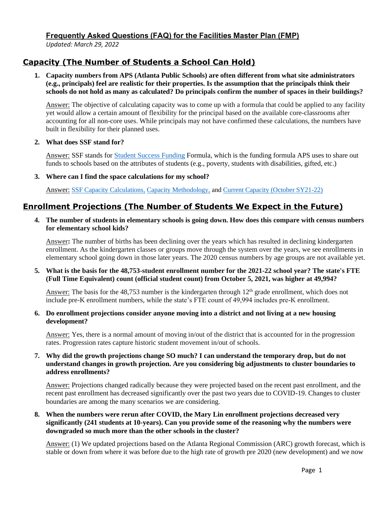*Updated: March 29, 2022*

# **Capacity (The Number of Students a School Can Hold)**

**1. Capacity numbers from APS (Atlanta Public Schools) are often different from what site administrators (e.g., principals) feel are realistic for their properties. Is the assumption that the principals think their schools do not hold as many as calculated? Do principals confirm the number of spaces in their buildings?**

Answer: The objective of calculating capacity was to come up with a formula that could be applied to any facility yet would allow a certain amount of flexibility for the principal based on the available core-classrooms after accounting for all non-core uses. While principals may not have confirmed these calculations, the numbers have built in flexibility for their planned uses.

**2. What does SSF stand for?**

Answer: SSF stands for [Student Success Funding](https://www.atlantapublicschools.us/Page/67446) Formula, which is the funding formula APS uses to share out funds to schools based on the attributes of students (e.g., poverty, students with disabilities, gifted, etc.)

**3. Where can I find the space calculations for my school?**

Answer: [SSF Capacity Calculations,](https://www.atlantapublicschools.us/cms/lib/GA01000924/Centricity/Domain/4657/School%20Capacity%20Calculations%20022222%20004.pdf) [Capacity Methodology,](https://www.atlantapublicschools.us/cms/lib/GA01000924/Centricity/Domain/4657/Capacity%20Methology.pdf) and [Current Capacity \(October SY21-22\)](https://www.atlantapublicschools.us/cms/lib/GA01000924/Centricity/Domain/4657/2122%20School%20Capacity%20Calculations%2003042022.pdf)

# **Enrollment Projections (The Number of Students We Expect in the Future)**

**4. The number of students in elementary schools is going down. How does this compare with census numbers for elementary school kids?**

Answer**:** The number of births has been declining over the years which has resulted in declining kindergarten enrollment. As the kindergarten classes or groups move through the system over the years, we see enrollments in elementary school going down in those later years. The 2020 census numbers by age groups are not available yet.

5. What is the basis for the 48,753-student enrollment number for the 2021-22 school year? The state's FTE **(Full Time Equivalent) count (official student count) from October 5, 2021, was higher at 49,994?**

Answer: The basis for the  $48,753$  number is the kindergarten through  $12<sup>th</sup>$  grade enrollment, which does not include pre-K enrollment numbers, while the state's FTE count of 49,994 includes pre-K enrollment.

### **6. Do enrollment projections consider anyone moving into a district and not living at a new housing development?**

Answer: Yes, there is a normal amount of moving in/out of the district that is accounted for in the progression rates. Progression rates capture historic student movement in/out of schools.

**7. Why did the growth projections change SO much? I can understand the temporary drop, but do not understand changes in growth projection. Are you considering big adjustments to cluster boundaries to address enrollments?**

Answer: Projections changed radically because they were projected based on the recent past enrollment, and the recent past enrollment has decreased significantly over the past two years due to COVID-19. Changes to cluster boundaries are among the many scenarios we are considering.

**8. When the numbers were rerun after COVID, the Mary Lin enrollment projections decreased very significantly (241 students at 10-years). Can you provide some of the reasoning why the numbers were downgraded so much more than the other schools in the cluster?**

Answer: (1) We updated projections based on the Atlanta Regional Commission (ARC) growth forecast, which is stable or down from where it was before due to the high rate of growth pre 2020 (new development) and we now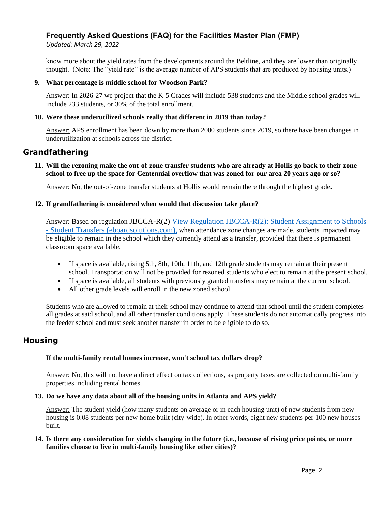*Updated: March 29, 2022*

know more about the yield rates from the developments around the Beltline, and they are lower than originally thought. (Note: The "yield rate" is the average number of APS students that are produced by housing units.)

## **9. What percentage is middle school for Woodson Park?**

Answer: In 2026-27 we project that the K-5 Grades will include 538 students and the Middle school grades will include 233 students, or 30% of the total enrollment.

## **10. Were these underutilized schools really that different in 2019 than today?**

Answer: APS enrollment has been down by more than 2000 students since 2019, so there have been changes in underutilization at schools across the district.

## **Grandfathering**

**11. Will the rezoning make the out-of-zone transfer students who are already at Hollis go back to their zone school to free up the space for Centennial overflow that was zoned for our area 20 years ago or so?**

Answer: No, the out-of-zone transfer students at Hollis would remain there through the highest grade**.**

## **12. If grandfathering is considered when would that discussion take place?**

Answer: Based on regulation JBCCA-R(2) View Regulation JBCCA-R(2): Student Assignment to Schools - [Student Transfers \(eboardsolutions.com\),](https://nam11.safelinks.protection.outlook.com/?url=https%3A%2F%2Fsimbli.eboardsolutions.com%2FPolicy%2FViewPolicy.aspx%3FS%3D36031014%26revid%3DjknjxTVzsLkdWrkIyQ99TA%3D%3D%26ptid%3DamIgTZiB9plushNjl6WXhfiOQ%3D%3D%26secid%3Dp6v70fD4K8ukRv6vtplusTtSg%3D%3D%26PG%3D6%26IRP%3D0&data=04%7C01%7Ctnorvell%40atlanta.k12.ga.us%7Ca7e5f22f715a4cbacf3e08da08faa797%7C0d95ef40a0dd431890985e10f876f635%7C0%7C0%7C637832169904710752%7CUnknown%7CTWFpbGZsb3d8eyJWIjoiMC4wLjAwMDAiLCJQIjoiV2luMzIiLCJBTiI6Ik1haWwiLCJXVCI6Mn0%3D%7C3000&sdata=lnXyTG3Q%2BTAcCgOnz2yU70%2BmIwYGRNzrcL9HsZeyhi0%3D&reserved=0) when attendance zone changes are made, students impacted may be eligible to remain in the school which they currently attend as a transfer, provided that there is permanent classroom space available.

- If space is available, rising 5th, 8th, 10th, 11th, and 12th grade students may remain at their present school. Transportation will not be provided for rezoned students who elect to remain at the present school.
- If space is available, all students with previously granted transfers may remain at the current school.
- All other grade levels will enroll in the new zoned school.

Students who are allowed to remain at their school may continue to attend that school until the student completes all grades at said school, and all other transfer conditions apply. These students do not automatically progress into the feeder school and must seek another transfer in order to be eligible to do so.

## **Housing**

## **If the multi-family rental homes increase, won't school tax dollars drop?**

Answer: No, this will not have a direct effect on tax collections, as property taxes are collected on multi-family properties including rental homes.

### **13. Do we have any data about all of the housing units in Atlanta and APS yield?**

Answer: The student yield (how many students on average or in each housing unit) of new students from new housing is 0.08 students per new home built (city-wide). In other words, eight new students per 100 new houses built**.**

## **14. Is there any consideration for yields changing in the future (i.e., because of rising price points, or more families choose to live in multi-family housing like other cities)?**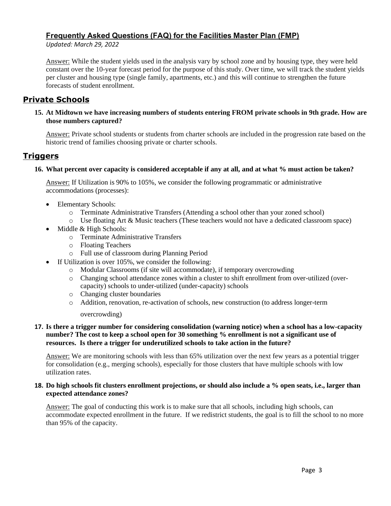*Updated: March 29, 2022*

Answer: While the student yields used in the analysis vary by school zone and by housing type, they were held constant over the 10-year forecast period for the purpose of this study. Over time, we will track the student yields per cluster and housing type (single family, apartments, etc.) and this will continue to strengthen the future forecasts of student enrollment.

## **Private Schools**

## **15. At Midtown we have increasing numbers of students entering FROM private schools in 9th grade. How are those numbers captured?**

Answer: Private school students or students from charter schools are included in the progression rate based on the historic trend of families choosing private or charter schools.

## **Triggers**

### **16. What percent over capacity is considered acceptable if any at all, and at what % must action be taken?**

Answer: If Utilization is 90% to 105%, we consider the following programmatic or administrative accommodations (processes):

- Elementary Schools:
	- o Terminate Administrative Transfers (Attending a school other than your zoned school)
	- o Use floating Art & Music teachers (These teachers would not have a dedicated classroom space)
- Middle & High Schools:
	- o Terminate Administrative Transfers
	- o Floating Teachers
	- o Full use of classroom during Planning Period
	- If Utilization is over 105%, we consider the following:
		- o Modular Classrooms (if site will accommodate), if temporary overcrowding
		- o Changing school attendance zones within a cluster to shift enrollment from over-utilized (overcapacity) schools to under-utilized (under-capacity) schools
		- o Changing cluster boundaries
		- o Addition, renovation, re-activation of schools, new construction (to address longer-term

overcrowding)

### **17. Is there a trigger number for considering consolidation (warning notice) when a school has a low-capacity number? The cost to keep a school open for 30 something % enrollment is not a significant use of resources. Is there a trigger for underutilized schools to take action in the future?**

Answer: We are monitoring schools with less than 65% utilization over the next few years as a potential trigger for consolidation (e.g., merging schools), especially for those clusters that have multiple schools with low utilization rates.

### **18. Do high schools fit clusters enrollment projections, or should also include a % open seats, i.e., larger than expected attendance zones?**

Answer: The goal of conducting this work is to make sure that all schools, including high schools, can accommodate expected enrollment in the future. If we redistrict students, the goal is to fill the school to no more than 95% of the capacity.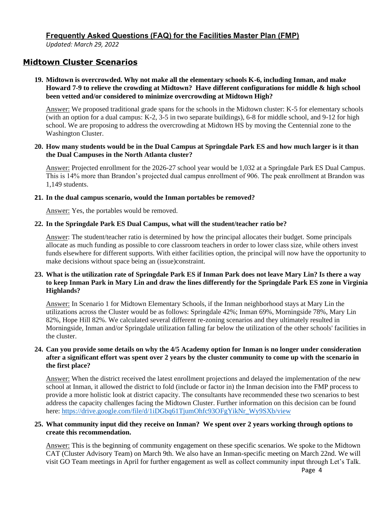*Updated: March 29, 2022*

## **Midtown Cluster Scenarios**

### **19. Midtown is overcrowded. Why not make all the elementary schools K-6, including Inman, and make Howard 7-9 to relieve the crowding at Midtown? Have different configurations for middle & high school been vetted and/or considered to minimize overcrowding at Midtown High?**

Answer: We proposed traditional grade spans for the schools in the Midtown cluster: K-5 for elementary schools (with an option for a dual campus: K-2, 3-5 in two separate buildings), 6-8 for middle school, and 9-12 for high school. We are proposing to address the overcrowding at Midtown HS by moving the Centennial zone to the Washington Cluster.

#### **20. How many students would be in the Dual Campus at Springdale Park ES and how much larger is it than the Dual Campuses in the North Atlanta cluster?**

Answer: Projected enrollment for the 2026-27 school year would be 1,032 at a Springdale Park ES Dual Campus. This is 14% more than Brandon's projected dual campus enrollment of 906. The peak enrollment at Brandon was 1,149 students.

#### **21. In the dual campus scenario, would the Inman portables be removed?**

Answer: Yes, the portables would be removed.

### **22. In the Springdale Park ES Dual Campus, what will the student/teacher ratio be?**

Answer: The student/teacher ratio is determined by how the principal allocates their budget. Some principals allocate as much funding as possible to core classroom teachers in order to lower class size, while others invest funds elsewhere for different supports. With either facilities option, the principal will now have the opportunity to make decisions without space being an (issue)constraint.

## **23. What is the utilization rate of Springdale Park ES if Inman Park does not leave Mary Lin? Is there a way to keep Inman Park in Mary Lin and draw the lines differently for the Springdale Park ES zone in Virginia Highlands?**

Answer: In Scenario 1 for Midtown Elementary Schools, if the Inman neighborhood stays at Mary Lin the utilizations across the Cluster would be as follows: Springdale 42%; Inman 69%, Morningside 78%, Mary Lin 82%, Hope Hill 82%. We calculated several different re-zoning scenarios and they ultimately resulted in Morningside, Inman and/or Springdale utilization falling far below the utilization of the other schools' facilities in the cluster.

### **24. Can you provide some details on why the 4/5 Academy option for Inman is no longer under consideration after a significant effort was spent over 2 years by the cluster community to come up with the scenario in the first place?**

Answer: When the district received the latest enrollment projections and delayed the implementation of the new school at Inman, it allowed the district to fold (include or factor in) the Inman decision into the FMP process to provide a more holistic look at district capacity. The consultants have recommended these two scenarios to best address the capacity challenges facing the Midtown Cluster. Further information on this decision can be found here: [https://drive.google.com/file/d/1iDGbq61TjumOhfc93OFgYikNr\\_Wy9SXb/view](https://drive.google.com/file/d/1iDGbq61TjumOhfc93OFgYikNr_Wy9SXb/view)

### **25. What community input did they receive on Inman? We spent over 2 years working through options to create this recommendation.**

Answer: This is the beginning of community engagement on these specific scenarios. We spoke to the Midtown CAT (Cluster Advisory Team) on March 9th. We also have an Inman-specific meeting on March 22nd. We will visit GO Team meetings in April for further engagement as well as collect community input through Let's Talk.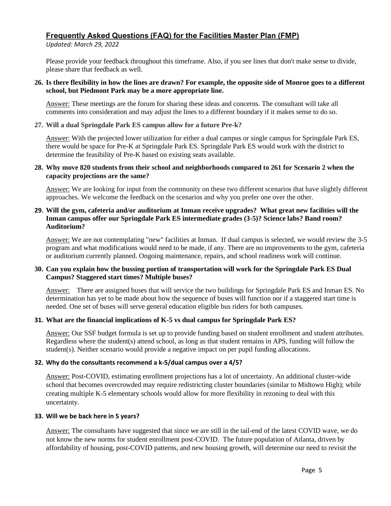*Updated: March 29, 2022*

Please provide your feedback throughout this timeframe. Also, if you see lines that don't make sense to divide, please share that feedback as well.

### **26. Is there flexibility in how the lines are drawn? For example, the opposite side of Monroe goes to a different school, but Piedmont Park may be a more appropriate line.**

Answer: These meetings are the forum for sharing these ideas and concerns. The consultant will take all comments into consideration and may adjust the lines to a different boundary if it makes sense to do so.

**27. Will a dual Springdale Park ES campus allow for a future Pre-k?**

Answer: With the projected lower utilization for either a dual campus or single campus for Springdale Park ES, there would be space for Pre-K at Springdale Park ES. Springdale Park ES would work with the district to determine the feasibility of Pre-K based on existing seats available.

### **28. Why move 820 students from their school and neighborhoods compared to 261 for Scenario 2 when the capacity projections are the same?**

Answer: We are looking for input from the community on these two different scenarios that have slightly different approaches. We welcome the feedback on the scenarios and why you prefer one over the other.

### **29. Will the gym, cafeteria and/or auditorium at Inman receive upgrades? What great new facilities will the Inman campus offer our Springdale Park ES intermediate grades (3-5)? Science labs? Band room? Auditorium?**

Answer: We are not contemplating "new" facilities at Inman. If dual campus is selected, we would review the 3-5 program and what modifications would need to be made, if any. There are no improvements to the gym, cafeteria or auditorium currently planned. Ongoing maintenance, repairs, and school readiness work will continue.

## **30. Can you explain how the bussing portion of transportation will work for the Springdale Park ES Dual Campus? Staggered start times? Multiple buses?**

Answer: There are assigned buses that will service the two buildings for Springdale Park ES and Inman ES. No determination has yet to be made about how the sequence of buses will function nor if a staggered start time is needed. One set of buses will serve general education eligible bus riders for both campuses.

## **31. What are the financial implications of K-5 vs dual campus for Springdale Park ES?**

Answer: Our SSF budget formula is set up to provide funding based on student enrollment and student attributes. Regardless where the student(s) attend school, as long as that student remains in APS, funding will follow the student(s). Neither scenario would provide a negative impact on per pupil funding allocations.

## **32. Why do the consultants recommend a k-5/dual campus over a 4/5?**

Answer: Post-COVID, estimating enrollment projections has a lot of uncertainty. An additional cluster-wide school that becomes overcrowded may require redistricting cluster boundaries (similar to Midtown High); while creating multiple K-5 elementary schools would allow for more flexibility in rezoning to deal with this uncertainty.

## **33. Will we be back here in 5 years?**

Answer: The consultants have suggested that since we are still in the tail-end of the latest COVID wave, we do not know the new norms for student enrollment post-COVID. The future population of Atlanta, driven by affordability of housing, post-COVID patterns, and new housing growth, will determine our need to revisit the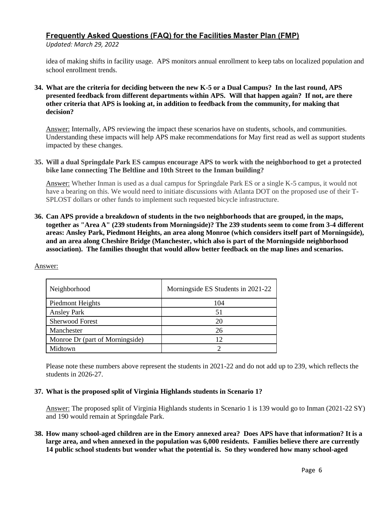*Updated: March 29, 2022*

idea of making shifts in facility usage. APS monitors annual enrollment to keep tabs on localized population and school enrollment trends.

**34. What are the criteria for deciding between the new K-5 or a Dual Campus? In the last round, APS presented feedback from different departments within APS. Will that happen again? If not, are there other criteria that APS is looking at, in addition to feedback from the community, for making that decision?**

Answer: Internally, APS reviewing the impact these scenarios have on students, schools, and communities. Understanding these impacts will help APS make recommendations for May first read as well as support students impacted by these changes.

**35. Will a dual Springdale Park ES campus encourage APS to work with the neighborhood to get a protected bike lane connecting The Beltline and 10th Street to the Inman building?**

Answer: Whether Inman is used as a dual campus for Springdale Park ES or a single K-5 campus, it would not have a bearing on this. We would need to initiate discussions with Atlanta DOT on the proposed use of their T-SPLOST dollars or other funds to implement such requested bicycle infrastructure.

**36. Can APS provide a breakdown of students in the two neighborhoods that are grouped, in the maps, together as "Area A" (239 students from Morningside)? The 239 students seem to come from 3-4 different areas: Ansley Park, Piedmont Heights, an area along Monroe (which considers itself part of Morningside), and an area along Cheshire Bridge (Manchester, which also is part of the Morningside neighborhood association). The families thought that would allow better feedback on the map lines and scenarios.**

| Neighborhood                    | Morningside ES Students in 2021-22 |
|---------------------------------|------------------------------------|
| Piedmont Heights                | 104                                |
| <b>Ansley Park</b>              | 51                                 |
| <b>Sherwood Forest</b>          | 20                                 |
| Manchester                      | 26                                 |
| Monroe Dr (part of Morningside) | 12                                 |
| Midtown                         |                                    |

Answer:

Please note these numbers above represent the students in 2021-22 and do not add up to 239, which reflects the students in 2026-27.

### **37. What is the proposed split of Virginia Highlands students in Scenario 1?**

Answer: The proposed split of Virginia Highlands students in Scenario 1 is 139 would go to Inman (2021-22 SY) and 190 would remain at Springdale Park.

**38. How many school-aged children are in the Emory annexed area? Does APS have that information? It is a large area, and when annexed in the population was 6,000 residents. Families believe there are currently 14 public school students but wonder what the potential is. So they wondered how many school-aged**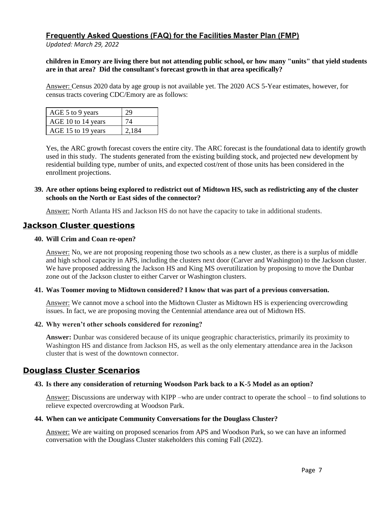*Updated: March 29, 2022*

### **children in Emory are living there but not attending public school, or how many "units" that yield students are in that area? Did the consultant's forecast growth in that area specifically?**

Answer: Census 2020 data by age group is not available yet. The 2020 ACS 5-Year estimates, however, for census tracts covering CDC/Emory are as follows:

| AGE 5 to 9 years   | 29    |
|--------------------|-------|
| AGE 10 to 14 years | 74    |
| AGE 15 to 19 years | 2.184 |

Yes, the ARC growth forecast covers the entire city. The ARC forecast is the foundational data to identify growth used in this study. The students generated from the existing building stock, and projected new development by residential building type, number of units, and expected cost/rent of those units has been considered in the enrollment projections.

## **39. Are other options being explored to redistrict out of Midtown HS, such as redistricting any of the cluster schools on the North or East sides of the connector?**

Answer: North Atlanta HS and Jackson HS do not have the capacity to take in additional students.

## **Jackson Cluster questions**

## **40. Will Crim and Coan re-open?**

Answer: No, we are not proposing reopening those two schools as a new cluster, as there is a surplus of middle and high school capacity in APS, including the clusters next door (Carver and Washington) to the Jackson cluster. We have proposed addressing the Jackson HS and King MS overutilization by proposing to move the Dunbar zone out of the Jackson cluster to either Carver or Washington clusters.

### **41. Was Toomer moving to Midtown considered? I know that was part of a previous conversation.**

Answer: We cannot move a school into the Midtown Cluster as Midtown HS is experiencing overcrowding issues. In fact, we are proposing moving the Centennial attendance area out of Midtown HS.

### **42. Why weren't other schools considered for rezoning?**

**Answer:** Dunbar was considered because of its unique geographic characteristics, primarily its proximity to Washington HS and distance from Jackson HS, as well as the only elementary attendance area in the Jackson cluster that is west of the downtown connector.

## **Douglass Cluster Scenarios**

## **43. Is there any consideration of returning Woodson Park back to a K-5 Model as an option?**

Answer: Discussions are underway with KIPP –who are under contract to operate the school – to find solutions to relieve expected overcrowding at Woodson Park.

### **44. When can we anticipate Community Conversations for the Douglass Cluster?**

Answer: We are waiting on proposed scenarios from APS and Woodson Park, so we can have an informed conversation with the Douglass Cluster stakeholders this coming Fall (2022).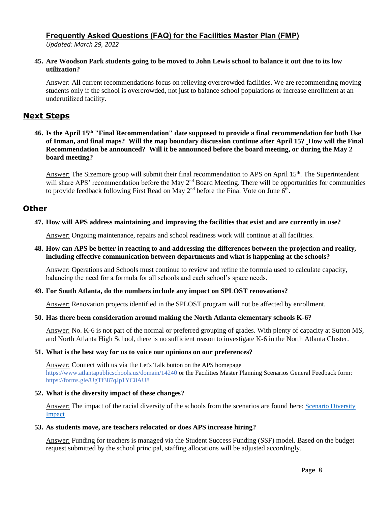*Updated: March 29, 2022*

**45. Are Woodson Park students going to be moved to John Lewis school to balance it out due to its low utilization?**

Answer: All current recommendations focus on relieving overcrowded facilities. We are recommending moving students only if the school is overcrowded, not just to balance school populations or increase enrollment at an underutilized facility.

# **Next Steps**

**46. Is the April 15th "Final Recommendation" date supposed to provide a final recommendation for both Use of Inman, and final maps? Will the map boundary discussion continue after April 15? How will the Final Recommendation be announced? Will it be announced before the board meeting, or during the May 2 board meeting?**

Answer: The Sizemore group will submit their final recommendation to APS on April 15<sup>th</sup>. The Superintendent will share APS' recommendation before the May 2<sup>nd</sup> Board Meeting. There will be opportunities for communities to provide feedback following First Read on May  $2<sup>nd</sup>$  before the Final Vote on June 6<sup>th</sup>.

## **Other**

## **47. How will APS address maintaining and improving the facilities that exist and are currently in use?**

Answer: Ongoing maintenance, repairs and school readiness work will continue at all facilities.

### **48. How can APS be better in reacting to and addressing the differences between the projection and reality, including effective communication between departments and what is happening at the schools?**

Answer: Operations and Schools must continue to review and refine the formula used to calculate capacity, balancing the need for a formula for all schools and each school's space needs.

### **49. For South Atlanta, do the numbers include any impact on SPLOST renovations?**

Answer: Renovation projects identified in the SPLOST program will not be affected by enrollment.

### **50. Has there been consideration around making the North Atlanta elementary schools K-6?**

Answer: No. K-6 is not part of the normal or preferred grouping of grades. With plenty of capacity at Sutton MS, and North Atlanta High School, there is no sufficient reason to investigate K-6 in the North Atlanta Cluster.

### **51. What is the best way for us to voice our opinions on our preferences?**

Answer: Connect with us via the Let's Talk button on the APS homepage <https://www.atlantapublicschools.us/domain/14240> or the Facilities Master Planning Scenarios General Feedback form: <https://forms.gle/UgTf387qJp1YC8AU8>

### **52. What is the diversity impact of these changes?**

Answer: The impact of the racial diversity of the schools from the scenarios are found here: [Scenario Diversity](https://www.atlantapublicschools.us/cms/lib/GA01000924/Centricity/Domain/4657/Race_Ethnic%20Diversity.pdf)  [Impact](https://www.atlantapublicschools.us/cms/lib/GA01000924/Centricity/Domain/4657/Race_Ethnic%20Diversity.pdf)

### **53. As students move, are teachers relocated or does APS increase hiring?**

Answer: Funding for teachers is managed via the Student Success Funding (SSF) model. Based on the budget request submitted by the school principal, staffing allocations will be adjusted accordingly.